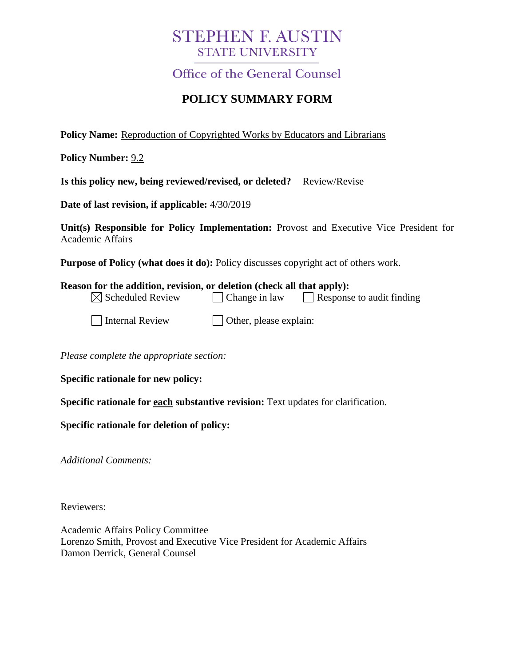# **STEPHEN F. AUSTIN STATE UNIVERSITY**

**Office of the General Counsel** 

# **POLICY SUMMARY FORM**

**Policy Name:** Reproduction of Copyrighted Works by Educators and Librarians

**Policy Number:** 9.2

**Is this policy new, being reviewed/revised, or deleted?** Review/Revise

**Date of last revision, if applicable:** 4/30/2019

**Unit(s) Responsible for Policy Implementation:** Provost and Executive Vice President for Academic Affairs

**Purpose of Policy (what does it do):** Policy discusses copyright act of others work.

| Reason for the addition, revision, or deletion (check all that apply): |                               |                                  |
|------------------------------------------------------------------------|-------------------------------|----------------------------------|
| $\boxtimes$ Scheduled Review                                           | $\vert$ Change in law         | $\Box$ Response to audit finding |
| Internal Review                                                        | $\Box$ Other, please explain: |                                  |

*Please complete the appropriate section:*

**Specific rationale for new policy:**

**Specific rationale for each substantive revision:** Text updates for clarification.

**Specific rationale for deletion of policy:**

*Additional Comments:*

Reviewers:

Academic Affairs Policy Committee Lorenzo Smith, Provost and Executive Vice President for Academic Affairs Damon Derrick, General Counsel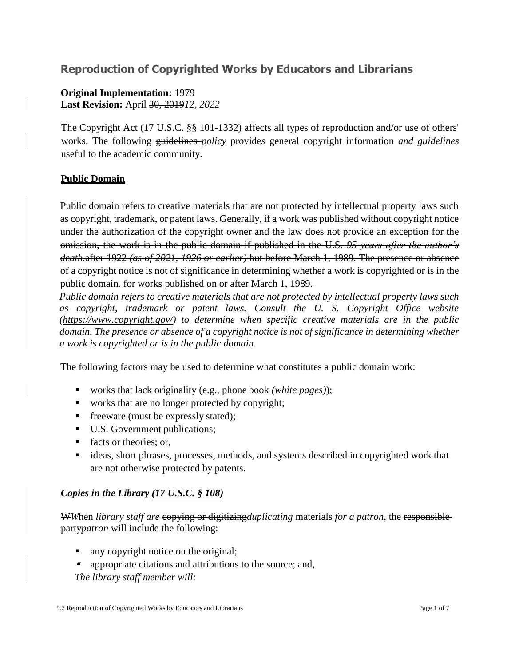# **Reproduction of Copyrighted Works by Educators and Librarians**

### **Original Implementation:** 1979 **Last Revision:** April 30, 2019*12, 2022*

The Copyright Act (17 U.S.C. §§ 101-1332) affects all types of reproduction and/or use of others' works. The following guidelines *policy* provide*s* general copyright information *and guidelines*  useful to the academic community.

#### **Public Domain**

Public domain refers to creative materials that are not protected by intellectual property laws such as copyright, trademark, or patent laws. Generally, if a work was published without copyright notice under the authorization of the copyright owner and the law does not provide an exception for the omission, the work is in the public domain if published in the U.S. *95 years after the author's death.*after 1922 *(as of 2021, 1926 or earlier)* but before March 1, 1989. The presence or absence of a copyright notice is not of significance in determining whether a work is copyrighted or is in the public domain*.* for works published on or after March 1, 1989.

*Public domain refers to creative materials that are not protected by intellectual property laws such*  as copyright, trademark or patent laws. Consult the U. S. Copyright Office website *[\(https://www.copyright.gov/\)](https://www.copyright.gov/) to determine when specific creative materials are in the public domain. The presence or absence of a copyright notice is not of significance in determining whether a work is copyrighted or is in the public domain.*

The following factors may be used to determine what constitutes a public domain work:

- works that lack originality (e.g., phone book *(white pages)*);
- works that are no longer protected by copyright;
- **•** freeware (must be expressly stated);
- U.S. Government publications;
- facts or theories; or,
- ideas, short phrases, processes, methods, and systems described in copyrighted work that are not otherwise protected by patents.

#### *Copies in the Library (17 U.S.C. § 108)*

W*W*hen *library staff are* copying or digitizing*duplicating* materials *for a patron*, the responsible party*patron* will include the following:

- any copyright notice on the original;
- **•** appropriate citations and attributions to the source; and, *The library staff member will:*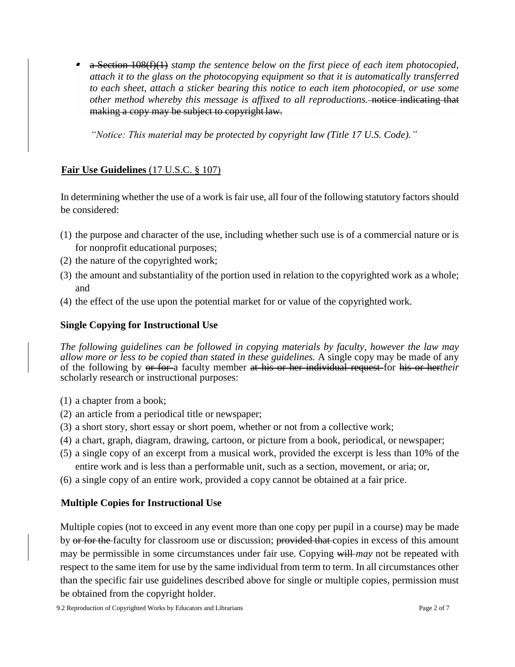■ a Section 108(f)(1) *stamp the sentence below on the first piece of each item photocopied, attach it to the glass on the photocopying equipment so that it is automatically transferred to each sheet, attach a sticker bearing this notice to each item photocopied, or use some other method whereby this message is affixed to all reproductions.* notice indicating that making a copy may be subject to copyright law.

*"Notice: This material may be protected by copyright law (Title 17 U.S. Code)."*

# **Fair Use Guidelines** (17 U.S.C. § 107)

In determining whether the use of a work is fair use, all four of the following statutory factors should be considered:

- (1) the purpose and character of the use, including whether such use is of a commercial nature or is for nonprofit educational purposes;
- (2) the nature of the copyrighted work;
- (3) the amount and substantiality of the portion used in relation to the copyrighted work as a whole; and
- (4) the effect of the use upon the potential market for or value of the copyrighted work.

#### **Single Copying for Instructional Use**

*The following guidelines can be followed in copying materials by faculty, however the law may allow more or less to be copied than stated in these guidelines.* A single copy may be made of any of the following by or for a faculty member at his or her individual request for his or her*their* scholarly research or instructional purposes:

- (1) a chapter from a book;
- (2) an article from a periodical title or newspaper;
- (3) a short story, short essay or short poem, whether or not from a collective work;
- (4) a chart, graph, diagram, drawing, cartoon, or picture from a book, periodical, or newspaper;
- (5) a single copy of an excerpt from a musical work, provided the excerpt is less than 10% of the entire work and is less than a performable unit, such as a section, movement, or aria; or,
- (6) a single copy of an entire work, provided a copy cannot be obtained at a fair price.

### **Multiple Copies for Instructional Use**

Multiple copies (not to exceed in any event more than one copy per pupil in a course) may be made by or for the faculty for classroom use or discussion; provided that copies in excess of this amount may be permissible in some circumstances under fair use. Copying will *may* not be repeated with respect to the same item for use by the same individual from term to term. In all circumstances other than the specific fair use guidelines described above for single or multiple copies, permission must be obtained from the copyright holder.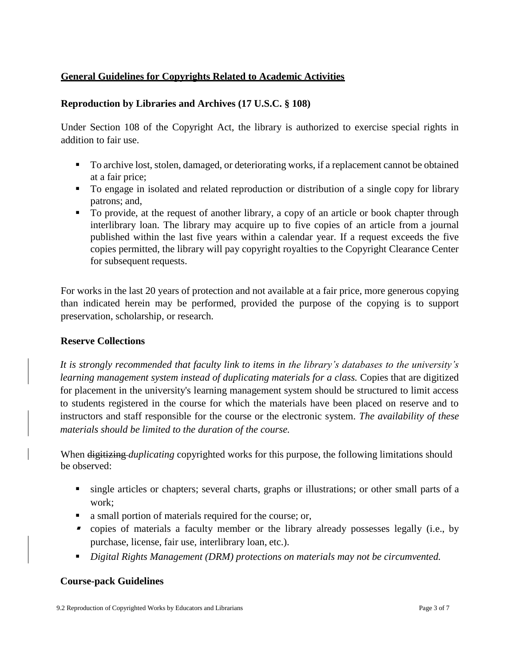#### **General Guidelines for Copyrights Related to Academic Activities**

#### **Reproduction by Libraries and Archives (17 U.S.C. § 108)**

Under Section 108 of the Copyright Act, the library is authorized to exercise special rights in addition to fair use.

- To archive lost, stolen, damaged, or deteriorating works, if a replacement cannot be obtained at a fair price;
- To engage in isolated and related reproduction or distribution of a single copy for library patrons; and,
- To provide, at the request of another library, a copy of an article or book chapter through interlibrary loan. The library may acquire up to five copies of an article from a journal published within the last five years within a calendar year. If a request exceeds the five copies permitted, the library will pay copyright royalties to the Copyright Clearance Center for subsequent requests.

For works in the last 20 years of protection and not available at a fair price, more generous copying than indicated herein may be performed, provided the purpose of the copying is to support preservation, scholarship, or research.

#### **Reserve Collections**

*It is strongly recommended that faculty link to items in the library's databases to the university's learning management system instead of duplicating materials for a class.* Copies that are digitized for placement in the university's learning management system should be structured to limit access to students registered in the course for which the materials have been placed on reserve and to instructors and staff responsible for the course or the electronic system. *The availability of these materials should be limited to the duration of the course.*

When digitizing *duplicating* copyrighted works for this purpose, the following limitations should be observed:

- single articles or chapters; several charts, graphs or illustrations; or other small parts of a work;
- a small portion of materials required for the course; or,
- copies of materials a faculty member or the library already possesses legally (i.e., by purchase, license, fair use, interlibrary loan, etc.).
- *Digital Rights Management (DRM) protections on materials may not be circumvented.*

#### **Course-pack Guidelines**

9.2 Reproduction of Copyrighted Works by Educators and Librarians Page 3 of 7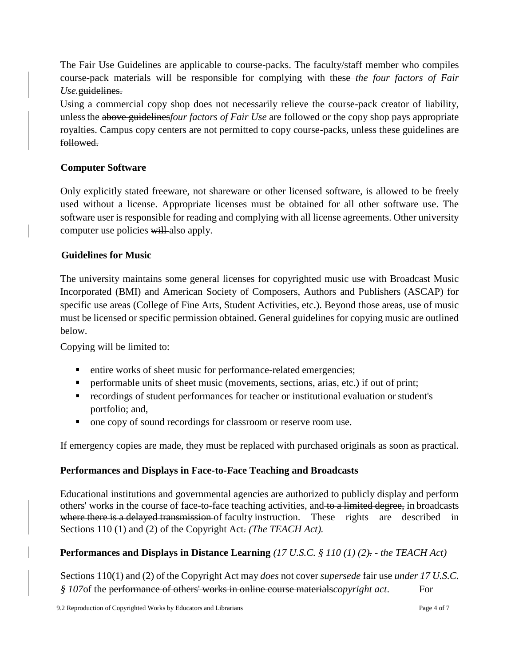The Fair Use Guidelines are applicable to course-packs. The faculty/staff member who compiles course-pack materials will be responsible for complying with these *the four factors of Fair Use.*guidelines.

Using a commercial copy shop does not necessarily relieve the course-pack creator of liability, unlessthe above guidelines*four factors of Fair Use* are followed or the copy shop pays appropriate royalties. Campus copy centers are not permitted to copy course-packs, unless these guidelines are followed.

### **Computer Software**

Only explicitly stated freeware, not shareware or other licensed software, is allowed to be freely used without a license. Appropriate licenses must be obtained for all other software use. The software user is responsible for reading and complying with all license agreements. Other university computer use policies will also apply.

### **Guidelines for Music**

The university maintains some general licenses for copyrighted music use with Broadcast Music Incorporated (BMI) and American Society of Composers, Authors and Publishers (ASCAP) for specific use areas (College of Fine Arts, Student Activities, etc.). Beyond those areas, use of music must be licensed or specific permission obtained. General guidelines for copying music are outlined below.

Copying will be limited to:

- entire works of sheet music for performance-related emergencies;
- **•** performable units of sheet music (movements, sections, arias, etc.) if out of print;
- recordings of student performances for teacher or institutional evaluation or student's portfolio; and,
- one copy of sound recordings for classroom or reserve room use.

If emergency copies are made, they must be replaced with purchased originals as soon as practical.

# **Performances and Displays in Face-to-Face Teaching and Broadcasts**

Educational institutions and governmental agencies are authorized to publicly display and perform others' works in the course of face-to-face teaching activities, and to a limited degree, in broadcasts where there is a delayed transmission of faculty instruction. These rights are described in Sections 110 (1) and (2) of the Copyright Act. *(The TEACH Act).*

# **Performances and Displays in Distance Learning** *(17 U.S.C. § 110 (1) (2). - the TEACH Act)*

Sections 110(1) and (2) of the Copyright Act may *does* not even *supersede* fair use *under 17 U.S.C. § 107*of the performance of others' works in online course materials*copyright act*. For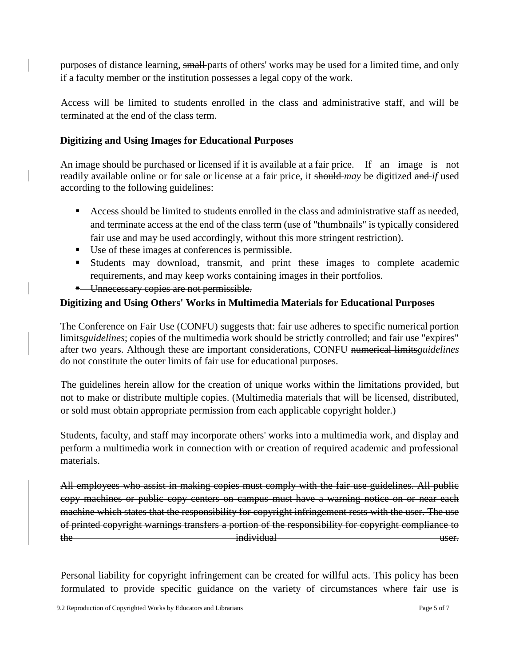purposes of distance learning, small parts of others' works may be used for a limited time, and only if a faculty member or the institution possesses a legal copy of the work.

Access will be limited to students enrolled in the class and administrative staff, and will be terminated at the end of the class term.

#### **Digitizing and Using Images for Educational Purposes**

An image should be purchased or licensed if it is available at a fair price. If an image is not readily available online or for sale or license at a fair price, it should *may* be digitized and *if* used according to the following guidelines:

- **EXEC** Access should be limited to students enrolled in the class and administrative staff as needed, and terminate access at the end of the class term (use of "thumbnails" is typically considered fair use and may be used accordingly, without this more stringent restriction).
- Use of these images at conferences is permissible.
- Students may download, transmit, and print these images to complete academic requirements, and may keep works containing images in their portfolios.
- **E** Unnecessary copies are not permissible.

## **Digitizing and Using Others' Works in Multimedia Materials for Educational Purposes**

The Conference on Fair Use (CONFU) suggests that: fair use adheres to specific numerical portion limits*guidelines*; copies of the multimedia work should be strictly controlled; and fair use "expires" after two years. Although these are important considerations, CONFU numerical limits*guidelines* do not constitute the outer limits of fair use for educational purposes.

The guidelines herein allow for the creation of unique works within the limitations provided, but not to make or distribute multiple copies. (Multimedia materials that will be licensed, distributed, or sold must obtain appropriate permission from each applicable copyright holder.)

Students, faculty, and staff may incorporate others' works into a multimedia work, and display and perform a multimedia work in connection with or creation of required academic and professional materials.

All employees who assist in making copies must comply with the fair use guidelines. All public copy machines or public copy centers on campus must have a warning notice on or near each machine which states that the responsibility for copyright infringement rests with the user. The use of printed copyright warnings transfers a portion of the responsibility for copyright compliance to the individual individual user.

Personal liability for copyright infringement can be created for willful acts. This policy has been formulated to provide specific guidance on the variety of circumstances where fair use is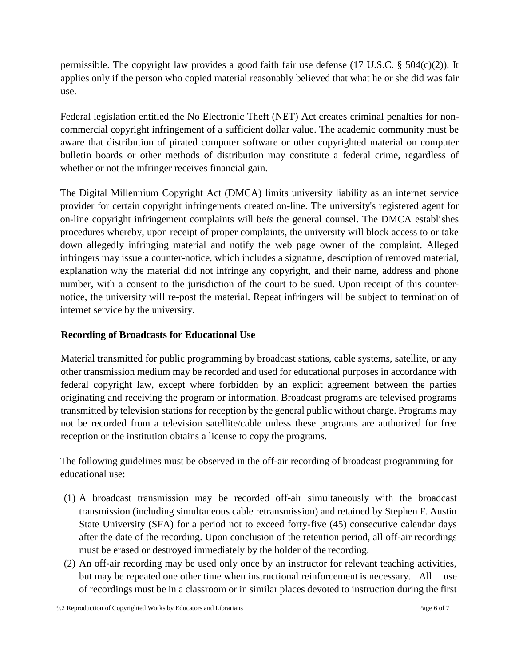permissible. The copyright law provides a good faith fair use defense (17 U.S.C. § 504(c)(2)). It applies only if the person who copied material reasonably believed that what he or she did was fair use.

Federal legislation entitled the No Electronic Theft (NET) Act creates criminal penalties for noncommercial copyright infringement of a sufficient dollar value. The academic community must be aware that distribution of pirated computer software or other copyrighted material on computer bulletin boards or other methods of distribution may constitute a federal crime, regardless of whether or not the infringer receives financial gain.

The Digital Millennium Copyright Act (DMCA) limits university liability as an internet service provider for certain copyright infringements created on-line. The university's registered agent for on-line copyright infringement complaints will be*is* the general counsel. The DMCA establishes procedures whereby, upon receipt of proper complaints, the university will block access to or take down allegedly infringing material and notify the web page owner of the complaint. Alleged infringers may issue a counter-notice, which includes a signature, description of removed material, explanation why the material did not infringe any copyright, and their name, address and phone number, with a consent to the jurisdiction of the court to be sued. Upon receipt of this counternotice, the university will re-post the material. Repeat infringers will be subject to termination of internet service by the university.

### **Recording of Broadcasts for Educational Use**

Material transmitted for public programming by broadcast stations, cable systems, satellite, or any other transmission medium may be recorded and used for educational purposes in accordance with federal copyright law, except where forbidden by an explicit agreement between the parties originating and receiving the program or information. Broadcast programs are televised programs transmitted by television stations for reception by the general public without charge. Programs may not be recorded from a television satellite/cable unless these programs are authorized for free reception or the institution obtains a license to copy the programs.

The following guidelines must be observed in the off-air recording of broadcast programming for educational use:

- (1) A broadcast transmission may be recorded off-air simultaneously with the broadcast transmission (including simultaneous cable retransmission) and retained by Stephen F. Austin State University (SFA) for a period not to exceed forty-five (45) consecutive calendar days after the date of the recording. Upon conclusion of the retention period, all off-air recordings must be erased or destroyed immediately by the holder of the recording.
- (2) An off-air recording may be used only once by an instructor for relevant teaching activities, but may be repeated one other time when instructional reinforcement is necessary. All use of recordings must be in a classroom or in similar places devoted to instruction during the first